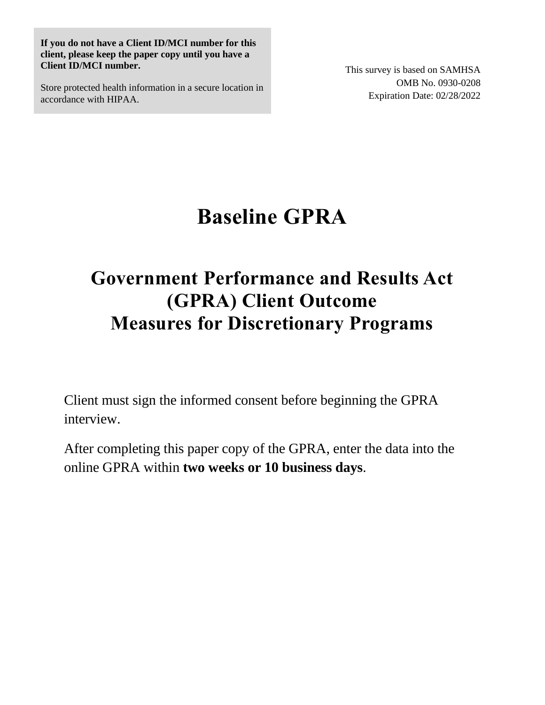**If you do not have a Client ID/MCI number for this client, please keep the paper copy until you have a Client ID/MCI number.** 

Store protected health information in a secure location in accordance with HIPAA.

This survey is based on SAMHSA OMB No. 0930-0208 Expiration Date: 02/28/2022

# **Baseline GPRA**

# **Government Performance and Results Act (GPRA) Client Outcome Measures for Discretionary Programs**

Client must sign the informed consent before beginning the GPRA interview.

After completing this paper copy of the GPRA, enter the data into the online GPRA within **two weeks or 10 business days**.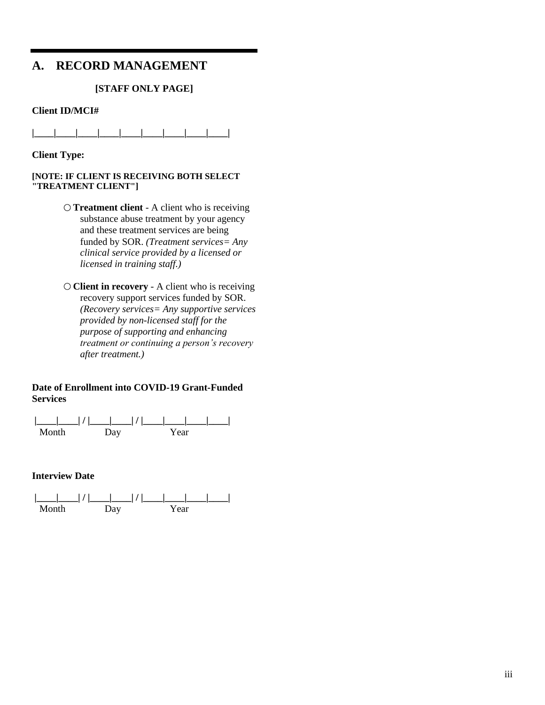### **A. RECORD MANAGEMENT**

#### **[STAFF ONLY PAGE]**

#### **Client ID/MCI#**

**|\_\_\_\_|\_\_\_\_|\_\_\_\_|\_\_\_\_|\_\_\_\_|\_\_\_\_|\_\_\_\_|\_\_\_\_|\_\_\_\_|**

**Client Type:** 

#### **[NOTE: IF CLIENT IS RECEIVING BOTH SELECT "TREATMENT CLIENT"]**

- **Treatment client** A client who is receiving substance abuse treatment by your agency and these treatment services are being funded by SOR. *(Treatment services= Any clinical service provided by a licensed or licensed in training staff.)*
- **Client in recovery** A client who is receiving recovery support services funded by SOR. *(Recovery services= Any supportive services provided by non-licensed staff for the purpose of supporting and enhancing treatment or continuing a person's recovery after treatment.)*

#### **Date of Enrollment into COVID-19 Grant-Funded Services**



#### **Interview Date**

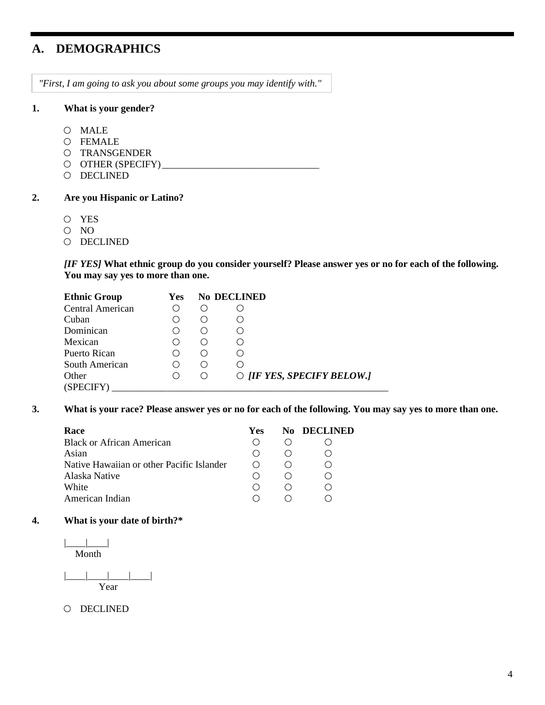### **A. DEMOGRAPHICS**

*"First, I am going to ask you about some groups you may identify with."* 

#### **1. What is your gender?**

- MALE
- FEMALE
- O TRANSGENDER
- OTHER (SPECIFY) \_\_\_\_\_\_\_\_\_\_\_\_\_\_\_\_\_\_\_\_\_\_\_\_\_\_\_\_\_\_\_\_
- O DECLINED

#### **2. Are you Hispanic or Latino?**

- YES
- O NO
- O DECLINED

*[IF YES]* **What ethnic group do you consider yourself? Please answer yes or no for each of the following. You may say yes to more than one.**

| <b>Ethnic Group</b>     | Yes | No DECLINED |                                  |
|-------------------------|-----|-------------|----------------------------------|
| <b>Central American</b> |     |             |                                  |
| Cuban                   |     |             |                                  |
| Dominican               |     |             |                                  |
| Mexican                 |     |             |                                  |
| Puerto Rican            |     |             |                                  |
| South American          |     |             |                                  |
| Other                   |     | $($ )       | $\circ$ [IF YES, SPECIFY BELOW.] |
| (SPECIFY)               |     |             |                                  |

**3. What is your race? Please answer yes or no for each of the following. You may say yes to more than one.**

| Race                                      | <b>Yes</b> | <b>No DECLINED</b> |
|-------------------------------------------|------------|--------------------|
| <b>Black or African American</b>          |            |                    |
| Asian                                     |            |                    |
| Native Hawaiian or other Pacific Islander |            |                    |
| Alaska Native                             |            |                    |
| White                                     |            |                    |
| American Indian                           |            |                    |

#### **4. What is your date of birth?\***

 $|$ Month

|\_\_\_\_|\_\_\_\_|\_\_\_\_|\_\_\_\_| Year

O DECLINED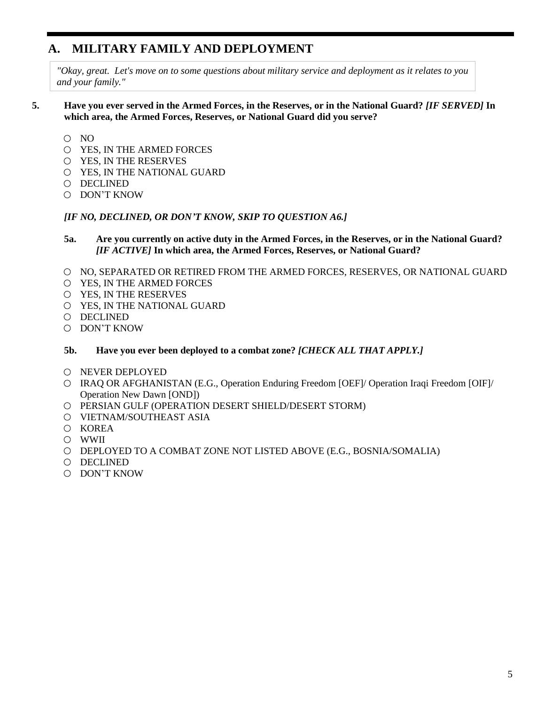### **A. MILITARY FAMILY AND DEPLOYMENT**

*"Okay, great. Let's move on to some questions about military service and deployment as it relates to you and your family."*

#### **5. Have you ever served in the Armed Forces, in the Reserves, or in the National Guard?** *[IF SERVED]* **In which area, the Armed Forces, Reserves, or National Guard did you serve?**

- $O$  NO
- YES, IN THE ARMED FORCES
- YES, IN THE RESERVES
- YES, IN THE NATIONAL GUARD
- DECLINED
- DON'T KNOW

#### *[IF NO, DECLINED, OR DON'T KNOW, SKIP TO QUESTION A6.]*

- **5a. Are you currently on active duty in the Armed Forces, in the Reserves, or in the National Guard?**  *[IF ACTIVE]* **In which area, the Armed Forces, Reserves, or National Guard?**
- O NO, SEPARATED OR RETIRED FROM THE ARMED FORCES, RESERVES, OR NATIONAL GUARD
- YES, IN THE ARMED FORCES
- YES, IN THE RESERVES
- YES, IN THE NATIONAL GUARD
- DECLINED
- DON'T KNOW
- **5b. Have you ever been deployed to a combat zone?** *[CHECK ALL THAT APPLY.]*
- O NEVER DEPLOYED
- IRAQ OR AFGHANISTAN (E.G., Operation Enduring Freedom [OEF]/ Operation Iraqi Freedom [OIF]/ Operation New Dawn [OND])
- PERSIAN GULF (OPERATION DESERT SHIELD/DESERT STORM)
- VIETNAM/SOUTHEAST ASIA
- O KOREA
- WWII
- DEPLOYED TO A COMBAT ZONE NOT LISTED ABOVE (E.G., BOSNIA/SOMALIA)
- DECLINED
- DON'T KNOW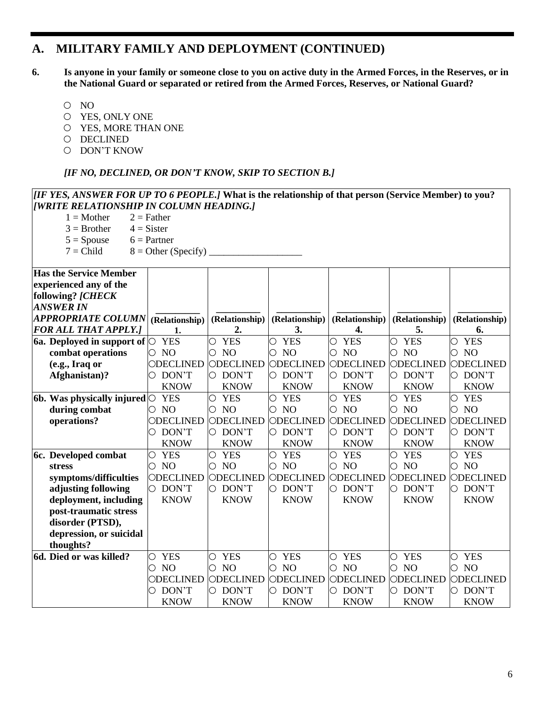### **A. MILITARY FAMILY AND DEPLOYMENT (CONTINUED)**

**6. Is anyone in your family or someone close to you on active duty in the Armed Forces, in the Reserves, or in the National Guard or separated or retired from the Armed Forces, Reserves, or National Guard?**

- O NO
- YES, ONLY ONE
- YES, MORE THAN ONE
- O DECLINED
- DON'T KNOW

#### *[IF NO, DECLINED, OR DON'T KNOW, SKIP TO SECTION B.]*

#### *[IF YES, ANSWER FOR UP TO 6 PEOPLE.]* **What is the relationship of that person (Service Member) to you?**  *[WRITE RELATIONSHIP IN COLUMN HEADING.]*

| IMTE REEATIONJIIII TA COEUMA HEADING.J |                          |                          |                          |                          |                              |                     |
|----------------------------------------|--------------------------|--------------------------|--------------------------|--------------------------|------------------------------|---------------------|
| $1 = Mother$                           | $2 =$ Father             |                          |                          |                          |                              |                     |
| $3 = Brother$                          | $4 = Sister$             |                          |                          |                          |                              |                     |
| $5 = Spouse$                           | $6$ = Partner            |                          |                          |                          |                              |                     |
| $7 = Child$                            | $8 =$ Other (Specify)    |                          |                          |                          |                              |                     |
|                                        |                          |                          |                          |                          |                              |                     |
| <b>Has the Service Member</b>          |                          |                          |                          |                          |                              |                     |
| experienced any of the                 |                          |                          |                          |                          |                              |                     |
| following? [CHECK                      |                          |                          |                          |                          |                              |                     |
| <b>ANSWER IN</b>                       |                          |                          |                          |                          |                              |                     |
| <b>APPROPRIATE COLUMN</b>              | (Relationship)           | (Relationship)           | (Relationship)           | (Relationship)           | (Relationship)               | (Relationship)      |
| <b>FOR ALL THAT APPLY.]</b>            | 1.                       | 2.                       | 3.                       | 4.                       | 5.                           | 6.                  |
| 6a. Deployed in support of $\circ$     | <b>YES</b>               | <b>YES</b><br>О          | <b>YES</b><br>О          | <b>YES</b><br>О          | <b>YES</b><br>О              | <b>YES</b><br>O     |
| combat operations                      | $\circ$ NO               | NO <sub>1</sub><br>O     | <b>NO</b><br>О           | N <sub>O</sub><br>О      | NO<br>О                      | NO<br>O             |
| (e.g., Iraq or                         | ODECLINED                | ODECLINED                | ODECLINED                | ODECLINED                | ODECLINED                    | ODECLINED           |
| Afghanistan)?                          | O DON'T                  | O DON'T                  | O DON'T                  | O DON'T                  | O DON'T                      | $\circ$ DON'T       |
|                                        | <b>KNOW</b>              | <b>KNOW</b>              | <b>KNOW</b>              | <b>KNOW</b>              | <b>KNOW</b>                  | <b>KNOW</b>         |
| 6b. Was physically injured $\circ$     | <b>YES</b>               | <b>YES</b><br>$\bigcirc$ | $\bigcirc$<br><b>YES</b> | $\bigcirc$<br><b>YES</b> | $\overline{O}$<br><b>YES</b> | <b>YES</b><br>О     |
| during combat                          | $\circ$ NO               | $\circ$ NO               | $\circ$ NO               | $\circ$ NO               | $\circ$ NO                   | $\circ$ NO          |
| operations?                            | ODECLINED                | ODECLINED                | ODECLINED                | ODECLINED                | ODECLINED                    | ODECLINED           |
|                                        | DON'T                    | O DON'T                  | O DON'T                  | O DON'T                  | $\circ$ DON'T                | DON'T               |
|                                        | <b>KNOW</b>              | <b>KNOW</b>              | <b>KNOW</b>              | <b>KNOW</b>              | <b>KNOW</b>                  | <b>KNOW</b>         |
| 6c. Developed combat                   | <b>YES</b><br>$\bigcirc$ | $\bigcirc$<br><b>YES</b> | $\bigcirc$<br><b>YES</b> | $\bigcirc$<br><b>YES</b> | <b>YES</b><br>$\bigcirc$     | <b>YES</b><br>О     |
| <b>stress</b>                          | N <sub>O</sub><br>0      | N <sub>O</sub><br>О      | N <sub>O</sub><br>О      | NO<br>О                  | N <sub>O</sub><br>О          | N <sub>O</sub><br>О |
| symptoms/difficulties                  | ODECLINED                | ODECLINED                | ODECLINED                | ODECLINED                | ODECLINED                    | ODECLINED           |
| adjusting following                    | O DON'T                  | $\circ$ DON'T            | O DON'T                  | DON'T<br>O.              | O DON'T                      | DON'T<br>0          |
| deployment, including                  | <b>KNOW</b>              | <b>KNOW</b>              | <b>KNOW</b>              | <b>KNOW</b>              | <b>KNOW</b>                  | <b>KNOW</b>         |
| post-traumatic stress                  |                          |                          |                          |                          |                              |                     |
| disorder (PTSD),                       |                          |                          |                          |                          |                              |                     |
| depression, or suicidal                |                          |                          |                          |                          |                              |                     |
| thoughts?                              |                          |                          |                          |                          |                              |                     |
| 6d. Died or was killed?                | O YES                    | <b>YES</b><br>О          | <b>YES</b><br>О          | <b>YES</b><br>$\bigcirc$ | <b>YES</b><br>О              | <b>YES</b><br>О     |
|                                        | N <sub>O</sub><br>0      | NO<br>O                  | NO <sub>1</sub><br>О     | NO<br>О                  | N <sub>O</sub><br>O          | NO<br>O             |
|                                        | ODECLINED                | ODECLINED                | ODECLINED                | ODECLINED                | ODECLINED                    | ODECLINED           |
|                                        | DON'T<br>О               | DON'T<br>0.              | $\circ$ DON'T            | DON'T<br>О               | $\circ$ DON'T                | DON'T<br>О          |
|                                        | <b>KNOW</b>              | <b>KNOW</b>              | <b>KNOW</b>              | <b>KNOW</b>              | <b>KNOW</b>                  | <b>KNOW</b>         |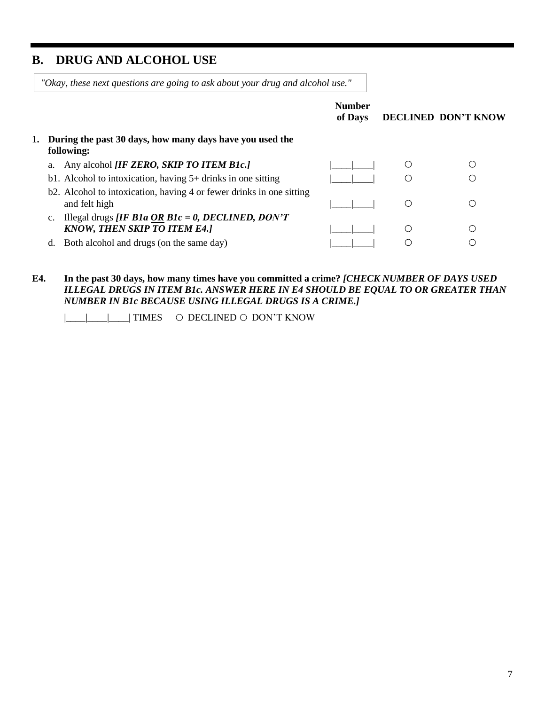### **B. DRUG AND ALCOHOL USE**

*"Okay, these next questions are going to ask about your drug and alcohol use."*

|                                                                                                 | <b>Number</b><br>of Days |    | DECLINED DON'T KNOW |
|-------------------------------------------------------------------------------------------------|--------------------------|----|---------------------|
| 1. During the past 30 days, how many days have you used the<br>following:                       |                          |    |                     |
| Any alcohol <i>[IF ZERO, SKIP TO ITEM B1c.]</i>                                                 |                          |    |                     |
| b1. Alcohol to intoxication, having $5+$ drinks in one sitting                                  |                          |    |                     |
| b2. Alcohol to intoxication, having 4 or fewer drinks in one sitting<br>and felt high           |                          |    |                     |
| Illegal drugs <i>[IF B1a OR B1c = 0, DECLINED, DON'T</i><br><b>KNOW, THEN SKIP TO ITEM E4.]</b> |                          | С. |                     |
| Both alcohol and drugs (on the same day)<br>d.                                                  |                          |    |                     |
|                                                                                                 |                          |    |                     |

#### **E4. In the past 30 days, how many times have you committed a crime?** *[CHECK NUMBER OF DAYS USED ILLEGAL DRUGS IN ITEM B1c. ANSWER HERE IN E4 SHOULD BE EQUAL TO OR GREATER THAN NUMBER IN B1c BECAUSE USING ILLEGAL DRUGS IS A CRIME.]*

|\_\_\_\_|\_\_\_\_|\_\_\_\_| TIMES DECLINED DON'T KNOW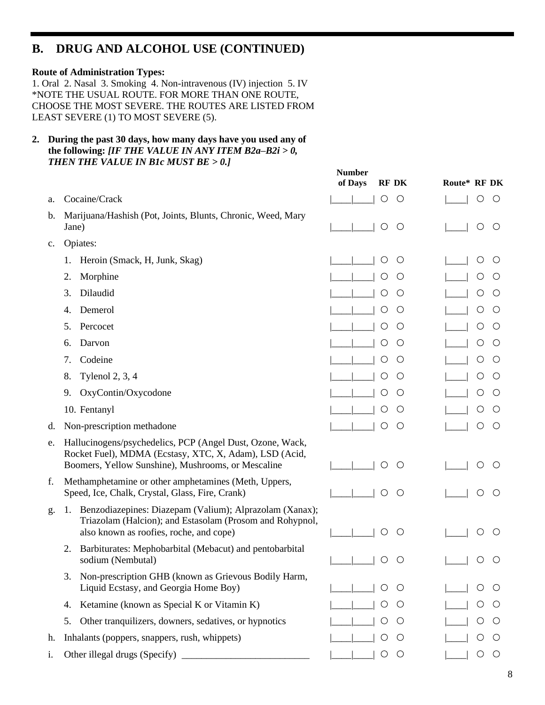### **B. DRUG AND ALCOHOL USE (CONTINUED)**

#### **Route of Administration Types:**

1. Oral 2. Nasal 3. Smoking 4. Non-intravenous (IV) injection 5. IV \*NOTE THE USUAL ROUTE. FOR MORE THAN ONE ROUTE, CHOOSE THE MOST SEVERE. THE ROUTES ARE LISTED FROM LEAST SEVERE (1) TO MOST SEVERE (5).

**2. During the past 30 days, how many days have you used any of the following:** *[IF THE VALUE IN ANY ITEM B2a–B2i > 0, THEN THE VALUE IN B1c MUST BE > 0.]*

|                |                                                                                                                                                                           | of Days<br><b>RF DK</b>                    | Route* RF DK             |
|----------------|---------------------------------------------------------------------------------------------------------------------------------------------------------------------------|--------------------------------------------|--------------------------|
| a.             | Cocaine/Crack                                                                                                                                                             | $\bigcirc$<br>O                            | $\bigcirc$<br>()         |
| b.             | Marijuana/Hashish (Pot, Joints, Blunts, Chronic, Weed, Mary<br>Jane)                                                                                                      | $\bigcirc$<br>$\circ$                      | O<br>$\circ$             |
| $\mathbf{c}$ . | Opiates:                                                                                                                                                                  |                                            |                          |
|                | Heroin (Smack, H, Junk, Skag)<br>1.                                                                                                                                       | $\circlearrowright$<br>$\circlearrowright$ | O<br>$\circ$             |
|                | Morphine<br>2.                                                                                                                                                            | O<br>O                                     | O<br>O                   |
|                | Dilaudid<br>3.                                                                                                                                                            | O<br>Ő                                     | $\bigcirc$<br>$\bigcirc$ |
|                | Demerol<br>4.                                                                                                                                                             | O<br>$\circlearrowright$                   | О<br>$\circ$             |
|                | 5.<br>Percocet                                                                                                                                                            | O<br>$\circ$                               | O<br>$\circ$             |
|                | Darvon<br>6.                                                                                                                                                              | O<br>Ő                                     | O<br>O                   |
|                | Codeine<br>7.                                                                                                                                                             | O<br>$\circlearrowright$                   | О<br>O                   |
|                | <b>Tylenol 2, 3, 4</b><br>8.                                                                                                                                              | O<br>$\circlearrowright$                   | O<br>$\circlearrowright$ |
|                | OxyContin/Oxycodone<br>9.                                                                                                                                                 | O<br>$\circlearrowright$                   | O<br>$\circ$             |
|                | 10. Fentanyl                                                                                                                                                              | O<br>$\circlearrowright$                   | O<br>O                   |
| d.             | Non-prescription methadone                                                                                                                                                | $\circ$<br>$\left(\right)$                 | O<br>$\bigcirc$          |
| e.             | Hallucinogens/psychedelics, PCP (Angel Dust, Ozone, Wack,<br>Rocket Fuel), MDMA (Ecstasy, XTC, X, Adam), LSD (Acid,<br>Boomers, Yellow Sunshine), Mushrooms, or Mescaline | $\bigcirc$<br>$\circ$                      | $\left(\right)$          |
| f.             | Methamphetamine or other amphetamines (Meth, Uppers,<br>Speed, Ice, Chalk, Crystal, Glass, Fire, Crank)                                                                   | $\bigcirc$<br>O                            | ()                       |
| g.             | Benzodiazepines: Diazepam (Valium); Alprazolam (Xanax);<br>1.<br>Triazolam (Halcion); and Estasolam (Prosom and Rohypnol,<br>also known as roofies, roche, and cope)      | ◯<br>O                                     | ()                       |
|                | Barbiturates: Mephobarbital (Mebacut) and pentobarbital<br>2.<br>sodium (Nembutal)                                                                                        | $\left(\right)$<br>$\left(\right)$         |                          |
|                | Non-prescription GHB (known as Grievous Bodily Harm,<br>3.<br>Liquid Ecstasy, and Georgia Home Boy)                                                                       | O<br>$\left(\ \right)$                     | $\left( \right)$         |
|                | Ketamine (known as Special K or Vitamin K)<br>4.                                                                                                                          | O<br>$\cup$                                | Ő                        |
|                | Other tranquilizers, downers, sedatives, or hypnotics<br>5.                                                                                                               | O<br>Ő                                     | O<br>Ő                   |
| h.             | Inhalants (poppers, snappers, rush, whippets)                                                                                                                             | O<br>$\circ$                               | O<br>$\circlearrowright$ |
| i.             |                                                                                                                                                                           | $\bigcirc$<br>$\bigcirc$                   | O<br>$\circ$             |
|                |                                                                                                                                                                           |                                            |                          |

**Number**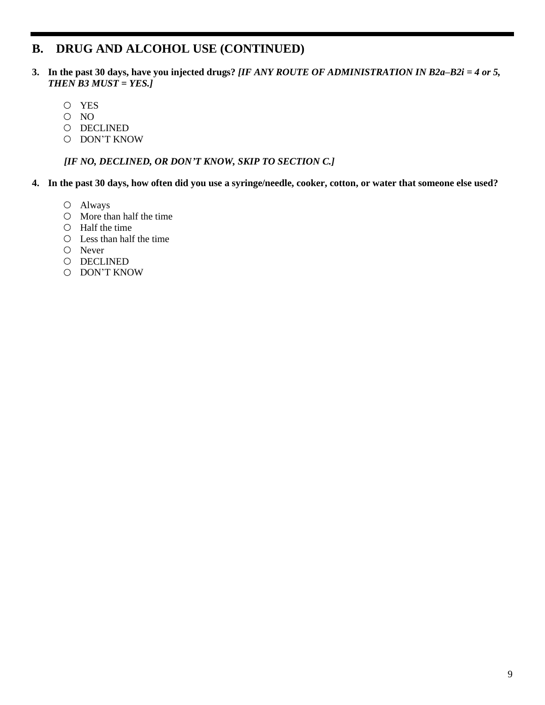### **B. DRUG AND ALCOHOL USE (CONTINUED)**

- **3. In the past 30 days, have you injected drugs?** *[IF ANY ROUTE OF ADMINISTRATION IN B2a–B2i = 4 or 5, THEN B3 MUST = YES.]*
	- YES
	- O NO
	- O DECLINED
	- O DON'T KNOW

*[IF NO, DECLINED, OR DON'T KNOW, SKIP TO SECTION C.]*

- **4. In the past 30 days, how often did you use a syringe/needle, cooker, cotton, or water that someone else used?**
	- Always
	- $\circ$  More than half the time
	- $O$  Half the time
	- $\circ$  Less than half the time
	- Never
	- O DECLINED
	- DON'T KNOW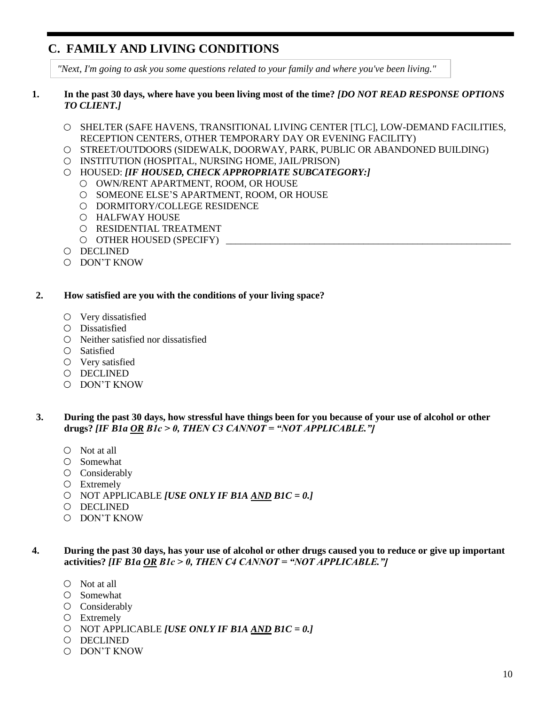### **C. FAMILY AND LIVING CONDITIONS**

*"Next, I'm going to ask you some questions related to your family and where you've been living."*

#### **1. In the past 30 days, where have you been living most of the time?** *[DO NOT READ RESPONSE OPTIONS TO CLIENT.]*

- O SHELTER (SAFE HAVENS, TRANSITIONAL LIVING CENTER [TLC], LOW-DEMAND FACILITIES, RECEPTION CENTERS, OTHER TEMPORARY DAY OR EVENING FACILITY)
- STREET/OUTDOORS (SIDEWALK, DOORWAY, PARK, PUBLIC OR ABANDONED BUILDING)
- INSTITUTION (HOSPITAL, NURSING HOME, JAIL/PRISON)
- HOUSED: *[IF HOUSED, CHECK APPROPRIATE SUBCATEGORY:]*
	- OWN/RENT APARTMENT, ROOM, OR HOUSE
	- O SOMEONE ELSE'S APARTMENT, ROOM, OR HOUSE
	- O DORMITORY/COLLEGE RESIDENCE
	- HALFWAY HOUSE
	- O RESIDENTIAL TREATMENT
	- $\circ$  OTHER HOUSED (SPECIFY)
- DECLINED
- DON'T KNOW

#### **2. How satisfied are you with the conditions of your living space?**

- $\circ$  Very dissatisfied
- Dissatisfied
- $\circ$  Neither satisfied nor dissatisfied
- Satisfied
- Very satisfied
- DECLINED
- DON'T KNOW

#### **3. During the past 30 days, how stressful have things been for you because of your use of alcohol or other drugs?** *[IF B1a OR B1c > 0, THEN C3 CANNOT = "NOT APPLICABLE."]*

- Not at all
- Somewhat
- O Considerably
- Extremely
- NOT APPLICABLE *[USE ONLY IF B1A AND B1C = 0.]*
- DECLINED
- DON'T KNOW

#### **4. During the past 30 days, has your use of alcohol or other drugs caused you to reduce or give up important activities?** *[IF B1a OR B1c > 0, THEN C4 CANNOT = "NOT APPLICABLE."]*

- Not at all
- $O$  Somewhat
- O Considerably
- Extremely
- NOT APPLICABLE *[USE ONLY IF B1A AND B1C = 0.]*
- O DECLINED
- DON'T KNOW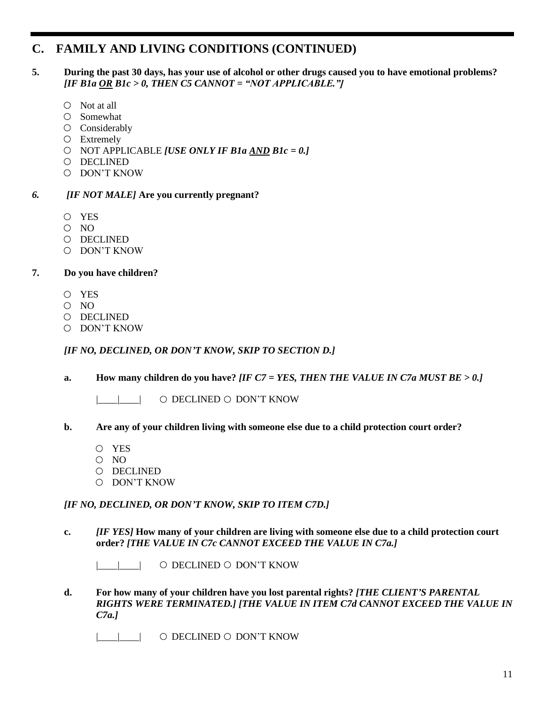### **C. FAMILY AND LIVING CONDITIONS (CONTINUED)**

#### **5. During the past 30 days, has your use of alcohol or other drugs caused you to have emotional problems?**  *[IF B1a OR B1c > 0, THEN C5 CANNOT = "NOT APPLICABLE."]*

- $\circ$  Not at all
- Somewhat
- O Considerably
- Extremely
- NOT APPLICABLE *[USE ONLY IF B1a AND B1c = 0.]*
- DECLINED
- DON'T KNOW

#### *6. [IF NOT MALE]* **Are you currently pregnant?**

- YES
- $O$  NO
- O DECLINED
- DON'T KNOW

#### **7. Do you have children?**

- YES
- $O$  NO
- DECLINED
- DON'T KNOW

#### *[IF NO, DECLINED, OR DON'T KNOW, SKIP TO SECTION D.]*

**a. How many children do you have?** *[IF C7 = YES, THEN THE VALUE IN C7a MUST BE > 0.]*

| | | O DECLINED O DON'T KNOW

#### **b. Are any of your children living with someone else due to a child protection court order?**

- YES
- O NO
- DECLINED
- DON'T KNOW

*[IF NO, DECLINED, OR DON'T KNOW, SKIP TO ITEM C7D.]*

**c.** *[IF YES]* **How many of your children are living with someone else due to a child protection court order?** *[THE VALUE IN C7c CANNOT EXCEED THE VALUE IN C7a.]*

| | | O DECLINED O DON'T KNOW

**d. For how many of your children have you lost parental rights?** *[THE CLIENT'S PARENTAL RIGHTS WERE TERMINATED.] [THE VALUE IN ITEM C7d CANNOT EXCEED THE VALUE IN C7a.]*

|\_\_\_\_|\_\_\_\_| DECLINED DON'T KNOW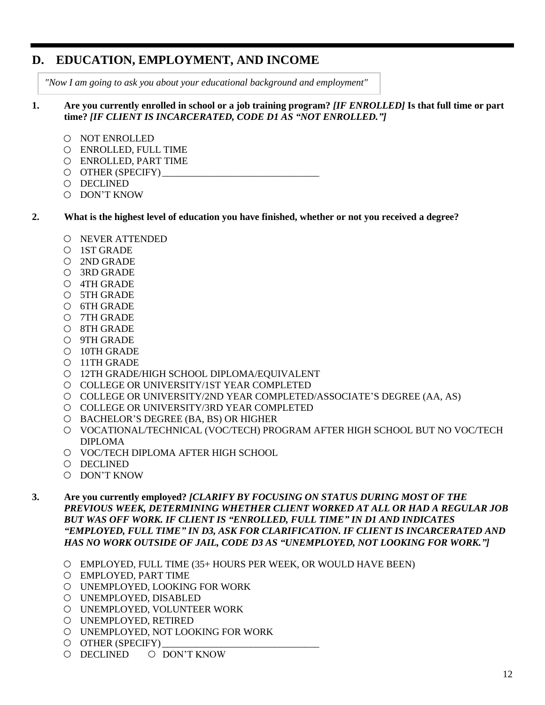### **D. EDUCATION, EMPLOYMENT, AND INCOME**

*"Now I am going to ask you about your educational background and employment"*

#### **1. Are you currently enrolled in school or a job training program?** *[IF ENROLLED]* **Is that full time or part time?** *[IF CLIENT IS INCARCERATED, CODE D1 AS "NOT ENROLLED."]*

- O NOT ENROLLED
- ENROLLED, FULL TIME
- ENROLLED, PART TIME
- $\circ$  OTHER (SPECIFY)
- DECLINED
- DON'T KNOW

#### **2. What is the highest level of education you have finished, whether or not you received a degree?**

- NEVER ATTENDED
- 1ST GRADE
- 2ND GRADE
- 3RD GRADE
- 4TH GRADE
- 5TH GRADE
- 6TH GRADE
- 7TH GRADE
- 8TH GRADE
- 9TH GRADE
- 10TH GRADE
- 11TH GRADE
- 12TH GRADE/HIGH SCHOOL DIPLOMA/EQUIVALENT
- COLLEGE OR UNIVERSITY/1ST YEAR COMPLETED
- COLLEGE OR UNIVERSITY/2ND YEAR COMPLETED/ASSOCIATE'S DEGREE (AA, AS)
- COLLEGE OR UNIVERSITY/3RD YEAR COMPLETED
- BACHELOR'S DEGREE (BA, BS) OR HIGHER
- VOCATIONAL/TECHNICAL (VOC/TECH) PROGRAM AFTER HIGH SCHOOL BUT NO VOC/TECH DIPLOMA
- O VOC/TECH DIPLOMA AFTER HIGH SCHOOL
- DECLINED
- DON'T KNOW
- **3. Are you currently employed?** *[CLARIFY BY FOCUSING ON STATUS DURING MOST OF THE PREVIOUS WEEK, DETERMINING WHETHER CLIENT WORKED AT ALL OR HAD A REGULAR JOB BUT WAS OFF WORK. IF CLIENT IS "ENROLLED, FULL TIME" IN D1 AND INDICATES "EMPLOYED, FULL TIME" IN D3, ASK FOR CLARIFICATION. IF CLIENT IS INCARCERATED AND HAS NO WORK OUTSIDE OF JAIL, CODE D3 AS "UNEMPLOYED, NOT LOOKING FOR WORK."]*
	- EMPLOYED, FULL TIME (35+ HOURS PER WEEK, OR WOULD HAVE BEEN)
	- EMPLOYED, PART TIME
	- UNEMPLOYED, LOOKING FOR WORK
	- UNEMPLOYED, DISABLED
	- UNEMPLOYED, VOLUNTEER WORK
	- UNEMPLOYED, RETIRED
	- UNEMPLOYED, NOT LOOKING FOR WORK
	- $\circ$  OTHER (SPECIFY)
	- O DECLINED O DON'T KNOW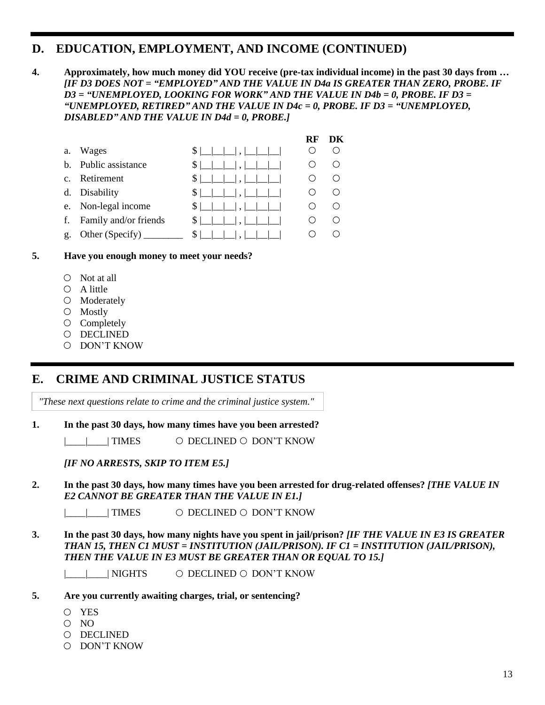### **D. EDUCATION, EMPLOYMENT, AND INCOME (CONTINUED)**

**4. Approximately, how much money did YOU receive (pre-tax individual income) in the past 30 days from …**  *[IF D3 DOES NOT = "EMPLOYED" AND THE VALUE IN D4a IS GREATER THAN ZERO, PROBE. IF D3 = "UNEMPLOYED, LOOKING FOR WORK" AND THE VALUE IN D4b = 0, PROBE. IF D3 = "UNEMPLOYED, RETIRED" AND THE VALUE IN D4c = 0, PROBE. IF D3 = "UNEMPLOYED, DISABLED" AND THE VALUE IN D4d = 0, PROBE.]*

|                |                                          |                                                      | RF | DК |
|----------------|------------------------------------------|------------------------------------------------------|----|----|
| a.             | Wages                                    | $S$ $\Box$ $\Box$ $\Box$ $\Box$ $\Box$ $\Box$ $\Box$ |    |    |
| b.             | Public assistance                        | $\frac{1}{2}$                                        |    |    |
| $c_{\cdot}$    | Retirement                               | $ S $ $\Box$ $\Box$ $\Box$ $\Box$ $\Box$             |    |    |
|                | d. Disability                            | $\frac{1}{2}$                                        |    |    |
|                | e. Non-legal income                      | $ S $ $\Box$ $\Box$ $\Box$ $\Box$ $\Box$             |    |    |
|                | f. Family and/or friends                 |                                                      |    |    |
| $\mathbf{g}$ . | Other (Specify) $\overline{\phantom{a}}$ | $S \vert$                                            |    |    |

#### **5. Have you enough money to meet your needs?**

- $\circ$  Not at all
- $O$  A little
- Moderately
- Mostly
- $\circ$  Completely
- DECLINED
- DON'T KNOW

### **E. CRIME AND CRIMINAL JUSTICE STATUS**

*"These next questions relate to crime and the criminal justice system."*

#### **1. In the past 30 days, how many times have you been arrested?**

|\_\_\_\_|\_\_\_\_| TIMES DECLINED DON'T KNOW

*[IF NO ARRESTS, SKIP TO ITEM E5.]*

#### **2. In the past 30 days, how many times have you been arrested for drug-related offenses?** *[THE VALUE IN E2 CANNOT BE GREATER THAN THE VALUE IN E1.]*

| TIMES O DECLINED O DON'T KNOW

#### **3. In the past 30 days, how many nights have you spent in jail/prison?** *[IF THE VALUE IN E3 IS GREATER THAN 15, THEN C1 MUST = INSTITUTION (JAIL/PRISON). IF C1 = INSTITUTION (JAIL/PRISON), THEN THE VALUE IN E3 MUST BE GREATER THAN OR EQUAL TO 15.]*

| NIGHTS O DECLINED O DON'T KNOW

#### **5. Are you currently awaiting charges, trial, or sentencing?**

- YES
- $O$  NO
- DECLINED
- DON'T KNOW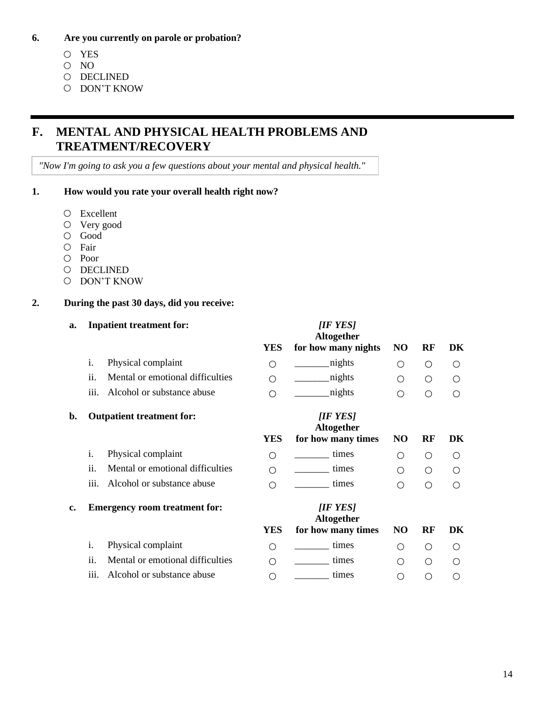#### **6. Are you currently on parole or probation?**

- YES
- O NO
- $O$  DECLINED
- O DON'T KNOW

### **F. MENTAL AND PHYSICAL HEALTH PROBLEMS AND TREATMENT/RECOVERY**

*"Now I'm going to ask you a few questions about your mental and physical health."*

#### **1. How would you rate your overall health right now?**

- Excellent
- Very good
- Good
- O Fair
- Poor
- O DECLINED
- DON'T KNOW

#### **2. During the past 30 days, did you receive:**

#### **a. Inpatient treatment for:**

|    |      |                                      | YES        | Altogether<br>for how many nights                   | NO              | RF         | DK                                            |
|----|------|--------------------------------------|------------|-----------------------------------------------------|-----------------|------------|-----------------------------------------------|
|    | i.   | Physical complaint                   | Ο          | nights                                              | Ο               | O          | Ω                                             |
|    | ii.  | Mental or emotional difficulties     | ∩          | nights                                              | ∩               | $\bigcirc$ | ∩                                             |
|    | iii. | Alcohol or substance abuse           | ∩          | nights                                              | ∩               | $\bigcirc$ | ∩                                             |
| b. |      | <b>Outpatient treatment for:</b>     | YES        | <b>IIF YESI</b><br>Altogether<br>for how many times | N <sub>O</sub>  | RF         | DK                                            |
|    | i.   | Physical complaint                   | Ο          | times                                               | ∩               | O          | ∩                                             |
|    | ii.  | Mental or emotional difficulties     | ∩          | times                                               | ∩               | ◯          | ∩                                             |
|    | iii. | Alcohol or substance abuse           | ∩          | times                                               | ∩               | ◯          | ∩                                             |
| c. |      | <b>Emergency room treatment for:</b> |            | <b>IIF YESI</b><br>Altogether                       |                 |            |                                               |
|    |      |                                      | <b>YES</b> | for how many times                                  | N <sub>O</sub>  | RF         | DK                                            |
|    | i.   | Physical complaint                   | $\bigcirc$ | times                                               | $\left(\right)$ | ◯          | $\left(\right)$                               |
|    | ii.  | Mental or emotional difficulties     | ∩          | times                                               | ∩               | ◯          | $\left(\begin{array}{c} 1 \end{array}\right)$ |
|    | iii. | Alcohol or substance abuse           |            | times                                               | ∩               |            | ⊖                                             |

*[IF YES]*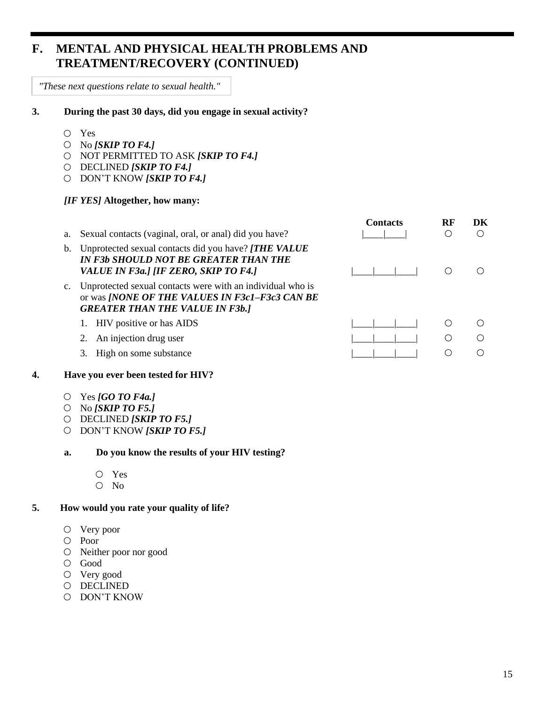### **F. MENTAL AND PHYSICAL HEALTH PROBLEMS AND TREATMENT/RECOVERY (CONTINUED)**

*"These next questions relate to sexual health."*

#### **3. During the past 30 days, did you engage in sexual activity?**

- Yes
- No *[SKIP TO F4.]*
- NOT PERMITTED TO ASK *[SKIP TO F4.]*
- DECLINED *[SKIP TO F4.]*
- DON'T KNOW *[SKIP TO F4.]*

#### *[IF YES]* **Altogether, how many:**

| a.             | Sexual contacts (vaginal, oral, or anal) did you have?                                                                                                        | <b>Contacts</b> | RF | DK |
|----------------|---------------------------------------------------------------------------------------------------------------------------------------------------------------|-----------------|----|----|
| b.             | Unprotected sexual contacts did you have? [THE VALUE<br><b>IN F3b SHOULD NOT BE GREATER THAN THE</b><br>VALUE IN F3a.] [IF ZERO, SKIP TO F4.]                 |                 |    |    |
| $\mathbf{c}$ . | Unprotected sexual contacts were with an individual who is<br>or was <i>[NONE OF THE VALUES IN F3c1-F3c3 CAN BE</i><br><b>GREATER THAN THE VALUE IN F3b.]</b> |                 |    |    |
|                | 1. HIV positive or has AIDS                                                                                                                                   |                 |    |    |
|                | An injection drug user                                                                                                                                        |                 | ⊖  |    |
|                | High on some substance                                                                                                                                        |                 |    |    |

#### **4. Have you ever been tested for HIV?**

- Yes *[GO TO F4a.]*
- No *[SKIP TO F5.]*
- DECLINED *[SKIP TO F5.]*
- DON'T KNOW *[SKIP TO F5.]*

#### **a. Do you know the results of your HIV testing?**

- Yes
- No

#### **5. How would you rate your quality of life?**

- Very poor
- Poor
- Neither poor nor good
- Good
- Very good
- O DECLINED
- DON'T KNOW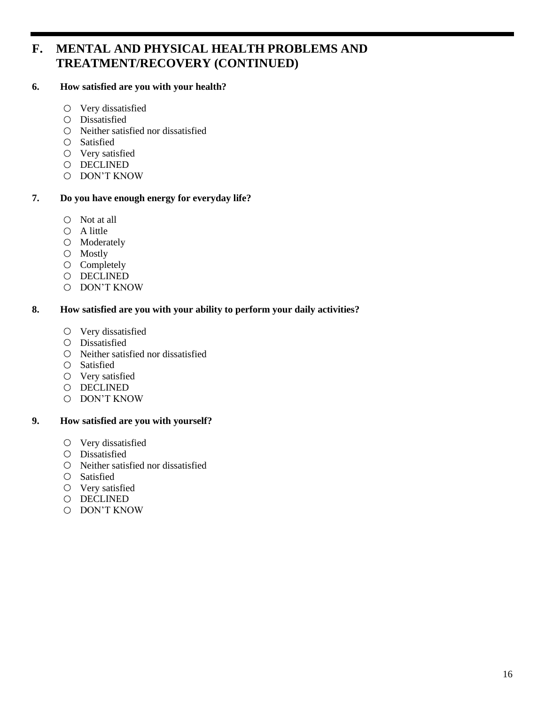### **F. MENTAL AND PHYSICAL HEALTH PROBLEMS AND TREATMENT/RECOVERY (CONTINUED)**

#### **6. How satisfied are you with your health?**

- Very dissatisfied
- Dissatisfied
- Neither satisfied nor dissatisfied
- Satisfied
- Very satisfied
- O DECLINED
- DON'T KNOW

#### **7. Do you have enough energy for everyday life?**

- $\bigcirc$  Not at all
- $O$  A little
- Moderately
- Mostly
- $\circ$  Completely
- O DECLINED
- DON'T KNOW

#### **8. How satisfied are you with your ability to perform your daily activities?**

- $\circ$  Very dissatisfied
- Dissatisfied
- $\circ$  Neither satisfied nor dissatisfied
- Satisfied
- Very satisfied
- O DECLINED
- DON'T KNOW

#### **9. How satisfied are you with yourself?**

- Very dissatisfied
- Dissatisfied
- Neither satisfied nor dissatisfied
- Satisfied
- Very satisfied
- O DECLINED
- DON'T KNOW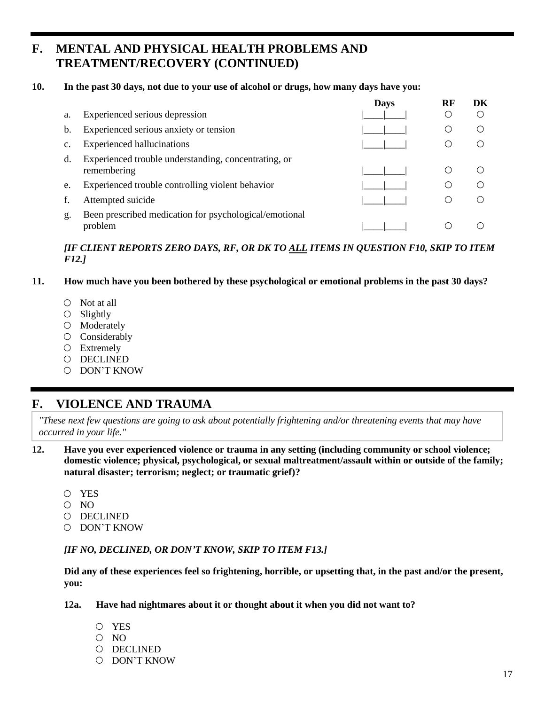### **F. MENTAL AND PHYSICAL HEALTH PROBLEMS AND TREATMENT/RECOVERY (CONTINUED)**

#### **10. In the past 30 days, not due to your use of alcohol or drugs, how many days have you:**

|    |                                                                     | <b>Days</b> | RF | DK |
|----|---------------------------------------------------------------------|-------------|----|----|
| a. | Experienced serious depression                                      |             |    |    |
| b. | Experienced serious anxiety or tension                              |             |    |    |
| c. | <b>Experienced hallucinations</b>                                   |             |    |    |
| d. | Experienced trouble understanding, concentrating, or<br>remembering |             |    |    |
| e. | Experienced trouble controlling violent behavior                    |             |    |    |
|    | Attempted suicide                                                   |             |    |    |
| g. | Been prescribed medication for psychological/emotional<br>problem   |             |    |    |

#### *[IF CLIENT REPORTS ZERO DAYS, RF, OR DK TO ALL ITEMS IN QUESTION F10, SKIP TO ITEM F12.]*

#### **11. How much have you been bothered by these psychological or emotional problems in the past 30 days?**

- $\circ$  Not at all
- $\bigcirc$  Slightly
- O Moderately
- O Considerably
- Extremely
- DECLINED
- DON'T KNOW

### **F. VIOLENCE AND TRAUMA**

*"These next few questions are going to ask about potentially frightening and/or threatening events that may have occurred in your life."*

- **12. Have you ever experienced violence or trauma in any setting (including community or school violence; domestic violence; physical, psychological, or sexual maltreatment/assault within or outside of the family; natural disaster; terrorism; neglect; or traumatic grief)?**
	- YES
	- $O$  NO
	- DECLINED
	- DON'T KNOW

#### *[IF NO, DECLINED, OR DON'T KNOW, SKIP TO ITEM F13.]*

**Did any of these experiences feel so frightening, horrible, or upsetting that, in the past and/or the present, you:**

- **12a. Have had nightmares about it or thought about it when you did not want to?**
	- YES
	- $O$  NO
	- DECLINED
	- DON'T KNOW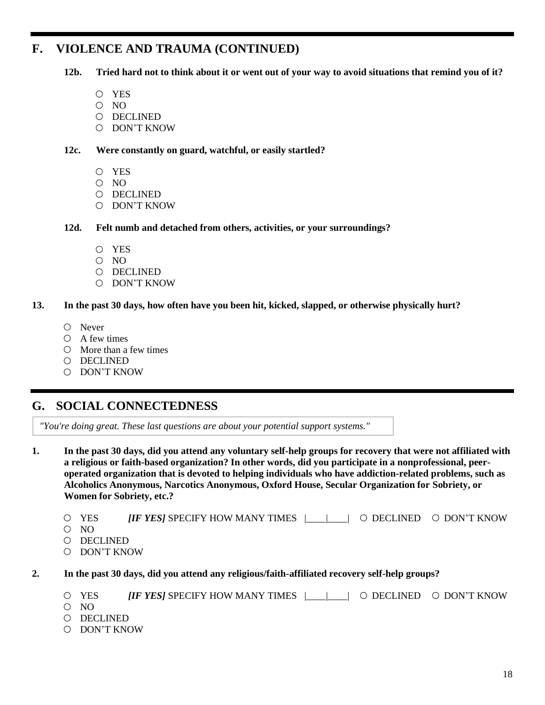### **F. VIOLENCE AND TRAUMA (CONTINUED)**

**12b. Tried hard not to think about it or went out of your way to avoid situations that remind you of it?**

- YES
- O NO
- O DECLINED
- DON'T KNOW

#### **12c. Were constantly on guard, watchful, or easily startled?**

- YES
- O NO
- DECLINED
- O DON'T KNOW
- **12d. Felt numb and detached from others, activities, or your surroundings?**
	- YES
	- O NO
	- DECLINED
	- DON'T KNOW

#### **13. In the past 30 days, how often have you been hit, kicked, slapped, or otherwise physically hurt?**

- Never
- $O$  A few times
- $\circ$  More than a few times
- DECLINED
- O DON'T KNOW

### **G. SOCIAL CONNECTEDNESS**

*"You're doing great. These last questions are about your potential support systems."*

**1. In the past 30 days, did you attend any voluntary self-help groups for recovery that were not affiliated with a religious or faith-based organization? In other words, did you participate in a nonprofessional, peeroperated organization that is devoted to helping individuals who have addiction-related problems, such as Alcoholics Anonymous, Narcotics Anonymous, Oxford House, Secular Organization for Sobriety, or Women for Sobriety, etc.?**

- YES *[IF YES]* SPECIFY HOW MANY TIMES |\_\_\_\_|\_\_\_\_| DECLINED DON'T KNOW
- O NO
- DECLINED
- DON'T KNOW
- **2. In the past 30 days, did you attend any religious/faith-affiliated recovery self-help groups?**
	- $\circ$  YES *[IF YES]* SPECIFY HOW MANY TIMES  $\Box$   $\circ$  DECLINED  $\circ$  DON'T KNOW
	- O NO
	- DECLINED
	- DON'T KNOW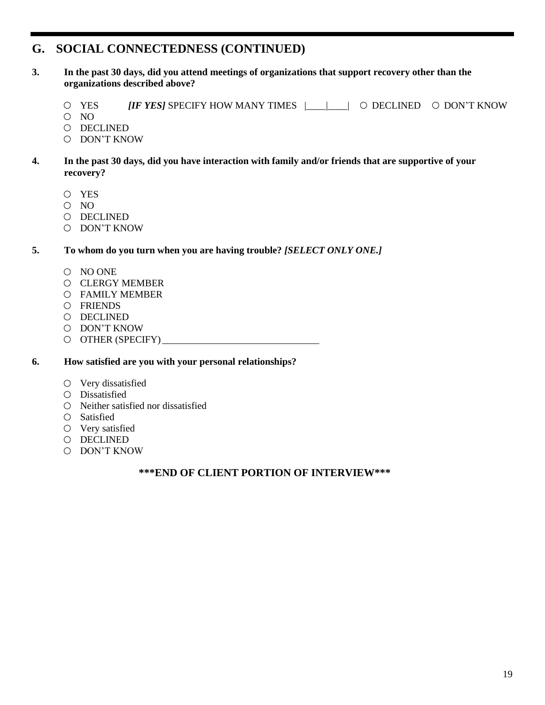### **G. SOCIAL CONNECTEDNESS (CONTINUED)**

- **3. In the past 30 days, did you attend meetings of organizations that support recovery other than the organizations described above?**
	- YES *[IF YES]* SPECIFY HOW MANY TIMES |\_\_\_\_|\_\_\_\_| DECLINED DON'T KNOW
	- O NO
	- O DECLINED
	- DON'T KNOW
- **4. In the past 30 days, did you have interaction with family and/or friends that are supportive of your recovery?**
	- YES
	- O NO
	- O DECLINED
	- DON'T KNOW

#### **5. To whom do you turn when you are having trouble?** *[SELECT ONLY ONE.]*

- NO ONE
- O CLERGY MEMBER
- FAMILY MEMBER
- FRIENDS
- DECLINED
- DON'T KNOW
- $\circ$  OTHER (SPECIFY)

**6. How satisfied are you with your personal relationships?**

- Very dissatisfied
- Dissatisfied
- Neither satisfied nor dissatisfied
- Satisfied
- Very satisfied
- O DECLINED
- DON'T KNOW

#### **\*\*\*END OF CLIENT PORTION OF INTERVIEW\*\*\***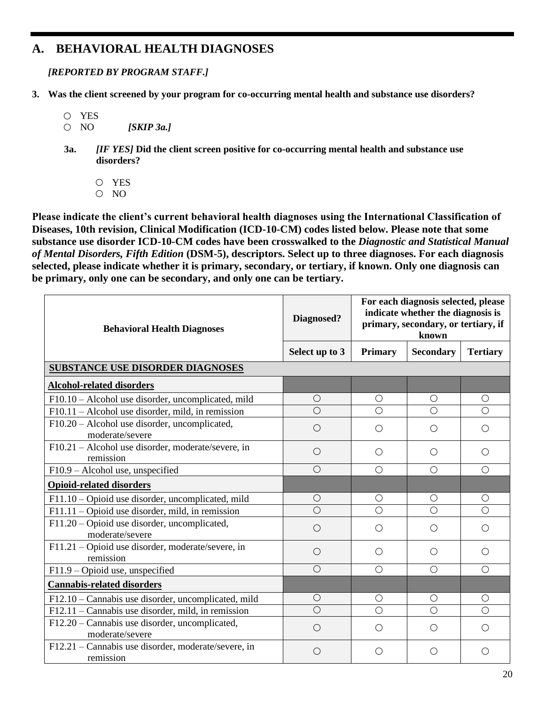### **A. BEHAVIORAL HEALTH DIAGNOSES**

*[REPORTED BY PROGRAM STAFF.]*

- **3. Was the client screened by your program for co-occurring mental health and substance use disorders?**
	- YES
	- NO *[SKIP 3a.]*
	- **3a.** *[IF YES]* **Did the client screen positive for co-occurring mental health and substance use disorders?**
		- YES
		- O NO

**Please indicate the client's current behavioral health diagnoses using the International Classification of Diseases, 10th revision, Clinical Modification (ICD-10-CM) codes listed below. Please note that some substance use disorder ICD-10-CM codes have been crosswalked to the** *Diagnostic and Statistical Manual of Mental Disorders, Fifth Edition* **(DSM-5), descriptors. Select up to three diagnoses. For each diagnosis selected, please indicate whether it is primary, secondary, or tertiary, if known. Only one diagnosis can be primary, only one can be secondary, and only one can be tertiary.**

| <b>Behavioral Health Diagnoses</b>                                           | For each diagnosis selected, please<br>indicate whether the diagnosis is<br>Diagnosed?<br>primary, secondary, or tertiary, if<br>known |                |            |                 |
|------------------------------------------------------------------------------|----------------------------------------------------------------------------------------------------------------------------------------|----------------|------------|-----------------|
|                                                                              | Select up to 3                                                                                                                         | <b>Primary</b> | Secondary  | <b>Tertiary</b> |
| <b>SUBSTANCE USE DISORDER DIAGNOSES</b>                                      |                                                                                                                                        |                |            |                 |
| <b>Alcohol-related disorders</b>                                             |                                                                                                                                        |                |            |                 |
| F10.10 – Alcohol use disorder, uncomplicated, mild                           | $\bigcirc$                                                                                                                             | O              | $\circ$    | $\bigcirc$      |
| $F10.11 - Alcohol$ use disorder, mild, in remission                          | $\bigcirc$                                                                                                                             | $\bigcirc$     | $\bigcirc$ | $\bigcirc$      |
| F10.20 - Alcohol use disorder, uncomplicated,<br>moderate/severe             | $\bigcirc$                                                                                                                             | ∩              | ◯          | ◯               |
| F10.21 - Alcohol use disorder, moderate/severe, in<br>remission              | $\bigcirc$                                                                                                                             | $\bigcirc$     | $\bigcirc$ | ◯               |
| F10.9 - Alcohol use, unspecified                                             | $\bigcirc$                                                                                                                             | $\bigcirc$     | $\bigcirc$ | $\bigcirc$      |
| <b>Opioid-related disorders</b>                                              |                                                                                                                                        |                |            |                 |
| F11.10 – Opioid use disorder, uncomplicated, mild                            | $\bigcirc$                                                                                                                             | $\bigcirc$     | $\bigcirc$ | $\bigcirc$      |
| F11.11 - Opioid use disorder, mild, in remission                             | $\bigcirc$                                                                                                                             | $\bigcirc$     | $\bigcirc$ | $\bigcirc$      |
| $\overline{F11}.20$ – Opioid use disorder, uncomplicated,<br>moderate/severe | $\bigcirc$                                                                                                                             | ∩              | $\bigcirc$ | ◯               |
| F11.21 - Opioid use disorder, moderate/severe, in<br>remission               | $\bigcirc$                                                                                                                             | ◯              | ◯          | ( )             |
| F11.9 - Opioid use, unspecified                                              | $\bigcirc$                                                                                                                             | $\bigcirc$     | $\bigcirc$ | $\bigcirc$      |
| <b>Cannabis-related disorders</b>                                            |                                                                                                                                        |                |            |                 |
| F12.10 - Cannabis use disorder, uncomplicated, mild                          | $\bigcirc$                                                                                                                             | $\bigcirc$     | O          | O               |
| $F12.11$ – Cannabis use disorder, mild, in remission                         | $\overline{\bigcirc}$                                                                                                                  | $\bigcirc$     | $\bigcirc$ | $\bigcirc$      |
| F12.20 - Cannabis use disorder, uncomplicated,<br>moderate/severe            | $\bigcirc$                                                                                                                             | $\bigcirc$     | $\bigcirc$ | ◯               |
| F12.21 - Cannabis use disorder, moderate/severe, in<br>remission             | $\bigcirc$                                                                                                                             | ∩              | Ω          | ∩               |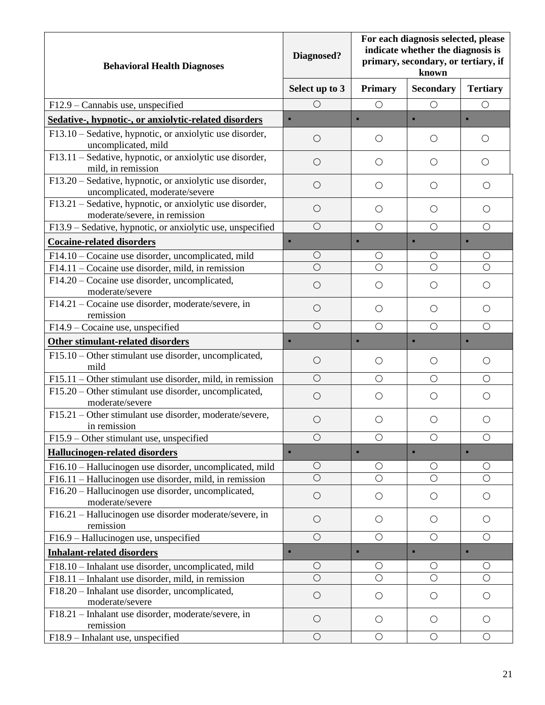| <b>Behavioral Health Diagnoses</b>                                                         | Diagnosed?     | For each diagnosis selected, please<br>indicate whether the diagnosis is<br>primary, secondary, or tertiary, if<br>known |                  |                 |
|--------------------------------------------------------------------------------------------|----------------|--------------------------------------------------------------------------------------------------------------------------|------------------|-----------------|
|                                                                                            | Select up to 3 | <b>Primary</b>                                                                                                           | <b>Secondary</b> | <b>Tertiary</b> |
| F12.9 - Cannabis use, unspecified                                                          | $\bigcirc$     | $\bigcirc$                                                                                                               | $\bigcirc$       | $\bigcirc$      |
| Sedative-, hypnotic-, or anxiolytic-related disorders                                      | ٠              | п                                                                                                                        |                  | $\blacksquare$  |
| F13.10 – Sedative, hypnotic, or anxiolytic use disorder,<br>uncomplicated, mild            | $\bigcirc$     | $\bigcirc$                                                                                                               | $\bigcirc$       | O               |
| F13.11 - Sedative, hypnotic, or anxiolytic use disorder,<br>mild, in remission             | $\bigcirc$     | $\bigcirc$                                                                                                               | $\bigcirc$       | $\bigcirc$      |
| F13.20 – Sedative, hypnotic, or anxiolytic use disorder,<br>uncomplicated, moderate/severe | $\bigcirc$     | $\bigcirc$                                                                                                               | O                | O               |
| F13.21 – Sedative, hypnotic, or anxiolytic use disorder,<br>moderate/severe, in remission  | $\bigcirc$     | O                                                                                                                        | $\bigcirc$       | O               |
| F13.9 – Sedative, hypnotic, or anxiolytic use, unspecified                                 | $\bigcirc$     | $\bigcirc$                                                                                                               | $\bigcirc$       | $\bigcirc$      |
| <b>Cocaine-related disorders</b>                                                           | п              | п                                                                                                                        | п                | п               |
| F14.10 – Cocaine use disorder, uncomplicated, mild                                         | $\bigcirc$     | $\bigcirc$                                                                                                               | О                | $\bigcirc$      |
| $F14.11$ – Cocaine use disorder, mild, in remission                                        | $\bigcirc$     | $\bigcirc$                                                                                                               | $\bigcirc$       | $\circ$         |
| F14.20 - Cocaine use disorder, uncomplicated,<br>moderate/severe                           | $\bigcirc$     | $\bigcirc$                                                                                                               | О                | $\bigcirc$      |
| F14.21 - Cocaine use disorder, moderate/severe, in<br>remission                            | $\bigcirc$     | $\bigcirc$                                                                                                               | $\bigcirc$       | $\bigcirc$      |
| F14.9 – Cocaine use, unspecified                                                           | $\bigcirc$     | $\bigcirc$                                                                                                               | $\bigcirc$       | $\bigcirc$      |
| Other stimulant-related disorders                                                          | ٠              | ×,                                                                                                                       |                  | ٠               |
| F15.10 – Other stimulant use disorder, uncomplicated,<br>mild                              | $\bigcirc$     | O                                                                                                                        | $\bigcirc$       | O               |
| $F15.11 - Other stimulant$ use disorder, mild, in remission                                | $\bigcirc$     | $\bigcirc$                                                                                                               | $\bigcirc$       | $\bigcirc$      |
| F15.20 - Other stimulant use disorder, uncomplicated,<br>moderate/severe                   | $\bigcirc$     | $\bigcirc$                                                                                                               | $\bigcirc$       | O               |
| F15.21 – Other stimulant use disorder, moderate/severe,<br>in remission                    | $\bigcirc$     | O                                                                                                                        | О                | Ο               |
| F15.9 – Other stimulant use, unspecified                                                   | $\bigcirc$     | $\bigcirc$                                                                                                               | $\bigcirc$       | $\bigcirc$      |
| <b>Hallucinogen-related disorders</b>                                                      | ٠              | п                                                                                                                        | ×,               | п               |
| F16.10 - Hallucinogen use disorder, uncomplicated, mild                                    | $\bigcirc$     | O                                                                                                                        | О                | O               |
| F16.11 - Hallucinogen use disorder, mild, in remission                                     | $\bigcirc$     | $\bigcirc$                                                                                                               | $\bigcirc$       | $\bigcirc$      |
| F16.20 - Hallucinogen use disorder, uncomplicated,<br>moderate/severe                      | $\bigcirc$     | $\bigcirc$                                                                                                               | $\bigcirc$       | $\bigcirc$      |
| F16.21 - Hallucinogen use disorder moderate/severe, in<br>remission                        | $\bigcirc$     | $\bigcirc$                                                                                                               | $\bigcirc$       | $\bigcirc$      |
| F16.9 - Hallucinogen use, unspecified                                                      | $\bigcirc$     | $\bigcirc$                                                                                                               | $\bigcirc$       | $\bigcirc$      |
| <b>Inhalant-related disorders</b>                                                          | п              | ×.                                                                                                                       | ٠                | $\blacksquare$  |
| F18.10 - Inhalant use disorder, uncomplicated, mild                                        | $\bigcirc$     | О                                                                                                                        | О                | $\bigcirc$      |
| F18.11 – Inhalant use disorder, mild, in remission                                         | $\bigcirc$     | $\bigcirc$                                                                                                               | $\bigcirc$       | $\bigcirc$      |
| F18.20 - Inhalant use disorder, uncomplicated,<br>moderate/severe                          | $\bigcirc$     | $\bigcirc$                                                                                                               | $\bigcirc$       | $\bigcirc$      |
| F18.21 - Inhalant use disorder, moderate/severe, in<br>remission                           | $\bigcirc$     | $\bigcirc$                                                                                                               | $\bigcirc$       | $\bigcirc$      |
| F18.9 - Inhalant use, unspecified                                                          | $\bigcirc$     | $\bigcirc$                                                                                                               | $\bigcirc$       | $\bigcirc$      |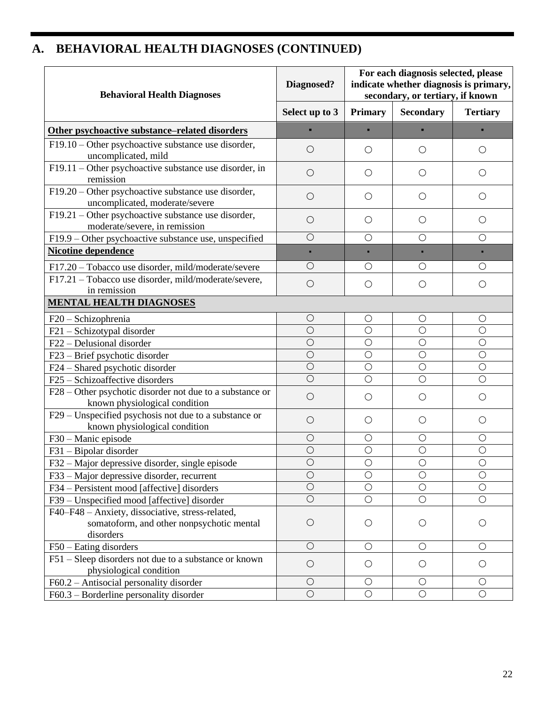# **A. BEHAVIORAL HEALTH DIAGNOSES (CONTINUED)**

| <b>Behavioral Health Diagnoses</b>                                                      | Diagnosed?     | For each diagnosis selected, please<br>indicate whether diagnosis is primary,<br>secondary, or tertiary, if known |                  |                 |
|-----------------------------------------------------------------------------------------|----------------|-------------------------------------------------------------------------------------------------------------------|------------------|-----------------|
|                                                                                         | Select up to 3 | <b>Primary</b>                                                                                                    | <b>Secondary</b> | <b>Tertiary</b> |
| Other psychoactive substance-related disorders                                          |                |                                                                                                                   |                  |                 |
| $F19.10$ – Other psychoactive substance use disorder,                                   | $\bigcirc$     | O                                                                                                                 | $\bigcirc$       | O               |
| uncomplicated, mild                                                                     |                |                                                                                                                   |                  |                 |
| F19.11 – Other psychoactive substance use disorder, in<br>remission                     | $\bigcirc$     | $\bigcirc$                                                                                                        | $\bigcirc$       | $\bigcirc$      |
| $F19.20$ – Other psychoactive substance use disorder,<br>uncomplicated, moderate/severe | $\bigcirc$     | $\bigcirc$                                                                                                        | $\bigcirc$       | $\bigcirc$      |
| F19.21 - Other psychoactive substance use disorder,<br>moderate/severe, in remission    | $\bigcirc$     | $\circlearrowright$                                                                                               | O                | О               |
| F19.9 – Other psychoactive substance use, unspecified                                   | $\bigcirc$     | $\bigcirc$                                                                                                        | $\bigcirc$       | $\bigcirc$      |
| <b>Nicotine dependence</b>                                                              | п              |                                                                                                                   | ٠                |                 |
| F17.20 - Tobacco use disorder, mild/moderate/severe                                     | $\bigcirc$     | $\bigcirc$                                                                                                        | $\bigcirc$       | $\bigcirc$      |
| F17.21 - Tobacco use disorder, mild/moderate/severe,                                    | $\bigcirc$     | $\bigcirc$                                                                                                        | $\bigcirc$       | $\bigcirc$      |
| in remission<br><b>MENTAL HEALTH DIAGNOSES</b>                                          |                |                                                                                                                   |                  |                 |
| $F20 - Schizophrenia$                                                                   | $\bigcirc$     | $\bigcirc$                                                                                                        | $\bigcirc$       | $\bigcirc$      |
| F21 - Schizotypal disorder                                                              | $\bigcirc$     | $\bigcirc$                                                                                                        | $\bigcirc$       | $\bigcirc$      |
| F22 - Delusional disorder                                                               | $\bigcirc$     | $\bigcirc$                                                                                                        | $\bigcirc$       | $\bigcirc$      |
| F23 - Brief psychotic disorder                                                          | $\bigcirc$     | $\bigcirc$                                                                                                        | $\bigcirc$       | $\bigcirc$      |
| F24 – Shared psychotic disorder                                                         | $\overline{O}$ | $\bigcirc$                                                                                                        | $\bigcirc$       | $\bigcirc$      |
| F25 - Schizoaffective disorders                                                         | $\circ$        | $\circ$                                                                                                           | $\bigcirc$       | $\bigcirc$      |
| F28 – Other psychotic disorder not due to a substance or                                | $\bigcirc$     | $\bigcirc$                                                                                                        | $\bigcirc$       | $\bigcirc$      |
| known physiological condition<br>F29 – Unspecified psychosis not due to a substance or  |                |                                                                                                                   |                  |                 |
| known physiological condition                                                           | $\bigcirc$     | $\bigcirc$                                                                                                        | $\bigcirc$       | $\bigcirc$      |
| F30 - Manic episode                                                                     | $\bigcirc$     | $\bigcirc$                                                                                                        | O                | О               |
| F31 - Bipolar disorder                                                                  | $\bigcirc$     | $\bigcirc$                                                                                                        | $\bigcirc$       | $\bigcirc$      |
| F32 – Major depressive disorder, single episode                                         | $\circ$        | $\bigcirc$                                                                                                        | $\circ$          | $\bigcirc$      |
| F33 – Major depressive disorder, recurrent                                              | $\bigcirc$     | $\bigcirc$                                                                                                        | $\bigcirc$       | $\bigcirc$      |
| F34 – Persistent mood [affective] disorders                                             | $\bigcirc$     | $\bigcirc$                                                                                                        | $\bigcirc$       | $\bigcirc$      |
| F39 – Unspecified mood [affective] disorder                                             | $\bigcirc$     | $\bigcirc$                                                                                                        | $\bigcirc$       | $\bigcirc$      |
| F40–F48 – Anxiety, dissociative, stress-related,                                        |                |                                                                                                                   |                  |                 |
| somatoform, and other nonpsychotic mental                                               | $\bigcirc$     | $\bigcirc$                                                                                                        | $\bigcirc$       | O               |
| disorders                                                                               |                |                                                                                                                   |                  |                 |
| $F50 -$ Eating disorders                                                                | $\bigcirc$     | $\bigcirc$                                                                                                        | $\bigcirc$       | $\bigcirc$      |
| F51 – Sleep disorders not due to a substance or known<br>physiological condition        | $\bigcirc$     | $\bigcirc$                                                                                                        | $\bigcirc$       | О               |
| F60.2 - Antisocial personality disorder                                                 | $\bigcirc$     | $\bigcirc$                                                                                                        | $\bigcirc$       | $\bigcirc$      |
| $F60.3$ – Borderline personality disorder                                               | $\bigcirc$     | $\bigcirc$                                                                                                        | $\bigcirc$       | $\bigcirc$      |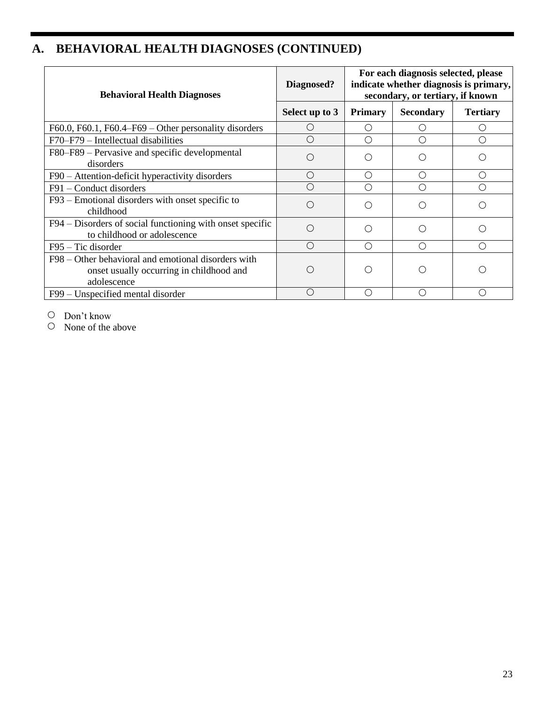# **A. BEHAVIORAL HEALTH DIAGNOSES (CONTINUED)**

| <b>Behavioral Health Diagnoses</b>                                                                             | Diagnosed?       | For each diagnosis selected, please<br>indicate whether diagnosis is primary,<br>secondary, or tertiary, if known |                  |                 |
|----------------------------------------------------------------------------------------------------------------|------------------|-------------------------------------------------------------------------------------------------------------------|------------------|-----------------|
|                                                                                                                | Select up to 3   | <b>Primary</b>                                                                                                    | <b>Secondary</b> | <b>Tertiary</b> |
| F60.0, F60.1, F60.4–F69 – Other personality disorders                                                          | $\left( \right)$ |                                                                                                                   |                  |                 |
| $F70-F79$ – Intellectual disabilities                                                                          | $\bigcirc$       |                                                                                                                   | ∩                | ∩               |
| F80–F89 – Pervasive and specific developmental<br>disorders                                                    | $\bigcirc$       |                                                                                                                   | O                |                 |
| F90 - Attention-deficit hyperactivity disorders                                                                | $\bigcirc$       | ∩                                                                                                                 | ∩                | ()              |
| F91 – Conduct disorders                                                                                        | ∩                |                                                                                                                   | ∩                |                 |
| F93 – Emotional disorders with onset specific to<br>childhood                                                  | $\bigcirc$       |                                                                                                                   | ◯                |                 |
| F94 – Disorders of social functioning with onset specific<br>to childhood or adolescence                       | ∩                |                                                                                                                   | ◯                |                 |
| $F95 - Tic disorder$                                                                                           | ∩                | ( )                                                                                                               | ∩                | ()              |
| F98 – Other behavioral and emotional disorders with<br>onset usually occurring in childhood and<br>adolescence |                  |                                                                                                                   |                  |                 |
| F99 – Unspecified mental disorder                                                                              | $\bigcirc$       | ◯                                                                                                                 | ∩                | ∩               |

Don't know

 $\circ$  None of the above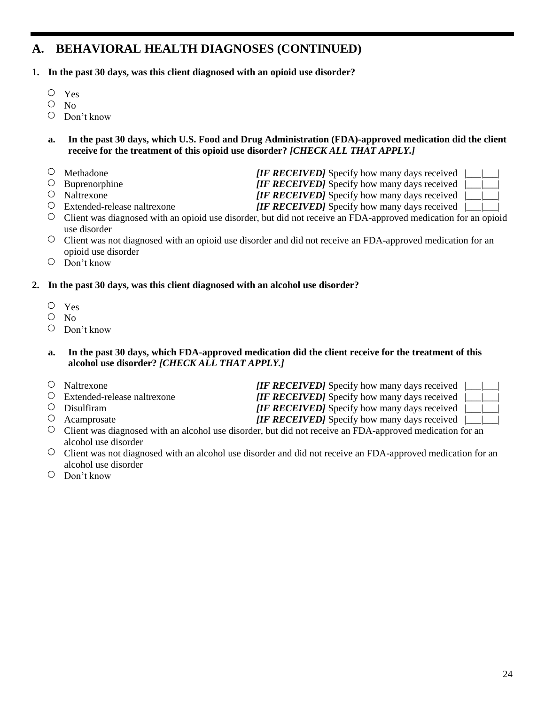### **A. BEHAVIORAL HEALTH DIAGNOSES (CONTINUED)**

- **1. In the past 30 days, was this client diagnosed with an opioid use disorder?**
	- $\bigcirc$ Yes
	- $\circ$  No
	- Don't know
	- **a. In the past 30 days, which U.S. Food and Drug Administration (FDA)-approved medication did the client receive for the treatment of this opioid use disorder?** *[CHECK ALL THAT APPLY.]*
	- Methadone *IF RECEIVED* Specify how many days received  $\vert \vert$
	-
	-
	- Extended-release naltrexone *[IF RECEIVED]* Specify how many days received |\_\_\_|\_\_\_|
	- O Buprenorphine *[IF RECEIVED]* Specify how many days received

O Naltrexone *[IF RECEIVED]* Specify how many days received

- Client was diagnosed with an opioid use disorder, but did not receive an FDA-approved medication for an opioid use disorder
- $\circ$  Client was not diagnosed with an opioid use disorder and did not receive an FDA-approved medication for an opioid use disorder
- Don't know

#### **2. In the past 30 days, was this client diagnosed with an alcohol use disorder?**

- $\bigcirc$ Yes
- $O$  No
- $\circ$  Don't know

#### **a. In the past 30 days, which FDA-approved medication did the client receive for the treatment of this alcohol use disorder?** *[CHECK ALL THAT APPLY.]*

| $\circ$ Naltrexone                  | <b><i>IIF RECEIVED]</i></b> Specify how many days received $\ $                                                   |  |
|-------------------------------------|-------------------------------------------------------------------------------------------------------------------|--|
| $\circ$ Extended-release naltrexone | <b><i>[IF RECEIVED]</i></b> Specify how many days received $\ $                                                   |  |
| $\circ$ Disulfiram                  | <b><i>[IF RECEIVED]</i></b> Specify how many days received $\  \_$                                                |  |
| $\circ$ Acamprosate                 | [IF RECEIVED] Specify how many days received $\lfloor \_\_\_\_\_\_\_\_\_\_\_\_\_\_\_\_\_\_\_\_\_\_\_\_\_\_\_\_\_$ |  |
|                                     |                                                                                                                   |  |

- $\circ$  Client was diagnosed with an alcohol use disorder, but did not receive an FDA-approved medication for an alcohol use disorder
- Client was not diagnosed with an alcohol use disorder and did not receive an FDA-approved medication for an alcohol use disorder
- Don't know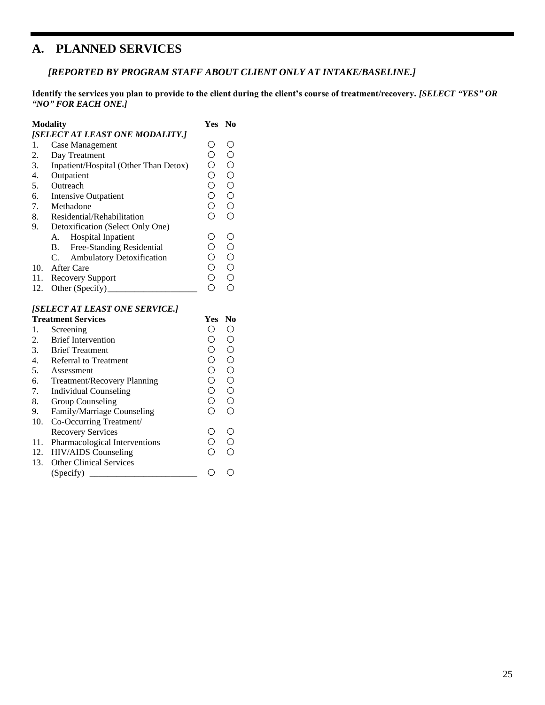### **A. PLANNED SERVICES**

*[REPORTED BY PROGRAM STAFF ABOUT CLIENT ONLY AT INTAKE/BASELINE.]*

**Identify the services you plan to provide to the client during the client's course of treatment/recovery.** *[SELECT "YES" OR "NO" FOR EACH ONE.]*

|                  | <b>Modality</b>                                      | Yes<br>No                                                   |
|------------------|------------------------------------------------------|-------------------------------------------------------------|
|                  | [SELECT AT LEAST ONE MODALITY.]                      |                                                             |
| 1.               | Case Management                                      | 0000000<br>0000000                                          |
| 2.               | Day Treatment                                        |                                                             |
| 3.               | Inpatient/Hospital (Other Than Detox)                |                                                             |
| 4.               | Outpatient                                           |                                                             |
| 5.               | Outreach                                             |                                                             |
| 6.               | <b>Intensive Outpatient</b>                          |                                                             |
| 7.               | Methadone                                            |                                                             |
| 8.               | Residential/Rehabilitation                           |                                                             |
| 9.               | Detoxification (Select Only One)                     |                                                             |
|                  | Hospital Inpatient<br>А.                             |                                                             |
|                  | Free-Standing Residential<br>В.                      |                                                             |
|                  | C.<br><b>Ambulatory Detoxification</b>               |                                                             |
| 10.              | After Care                                           | 000000<br>000000                                            |
|                  | 11. Recovery Support                                 |                                                             |
| 12.              |                                                      |                                                             |
|                  | [SELECT AT LEAST ONE SERVICE.]                       |                                                             |
|                  | <b>Treatment Services</b>                            | N <sub>0</sub><br>Yes                                       |
| 1.               | Screening                                            | 00000000<br>00000000                                        |
| 2.               | <b>Brief Intervention</b>                            |                                                             |
| 3.               | <b>Brief Treatment</b>                               |                                                             |
| $\overline{4}$ . | <b>Referral to Treatment</b>                         |                                                             |
| 5.               | Assessment                                           |                                                             |
| 6.               | Treatment/Recovery Planning                          |                                                             |
| 7.               | <b>Individual Counseling</b>                         |                                                             |
| 8.               | <b>Group Counseling</b>                              |                                                             |
| 9.               | Family/Marriage Counseling                           |                                                             |
| 10.              | Co-Occurring Treatment/                              |                                                             |
|                  | <b>Recovery Services</b>                             | $\circ$                                                     |
| 11.              |                                                      |                                                             |
|                  |                                                      |                                                             |
| 12.              | Pharmacological Interventions<br>HIV/AIDS Counseling | $\begin{matrix} 0 \\ 0 \\ 0 \end{matrix}$<br>$\overline{O}$ |
| 13.              | <b>Other Clinical Services</b>                       | $\circ$<br>$\overline{O}$                                   |